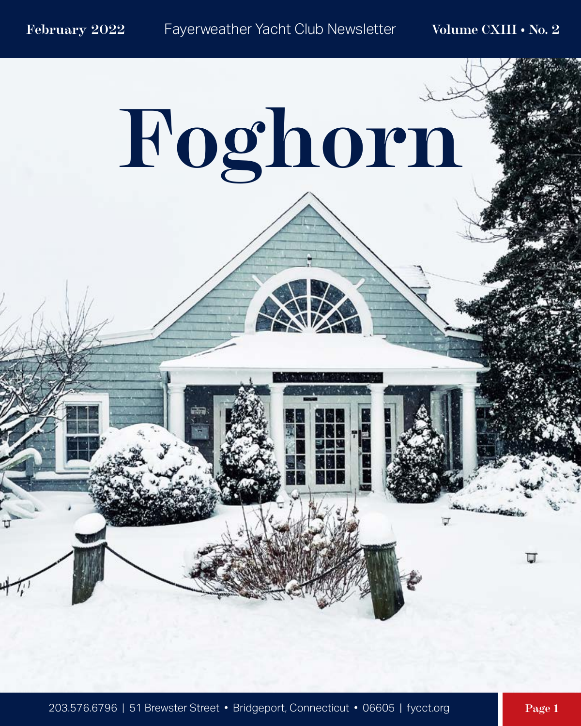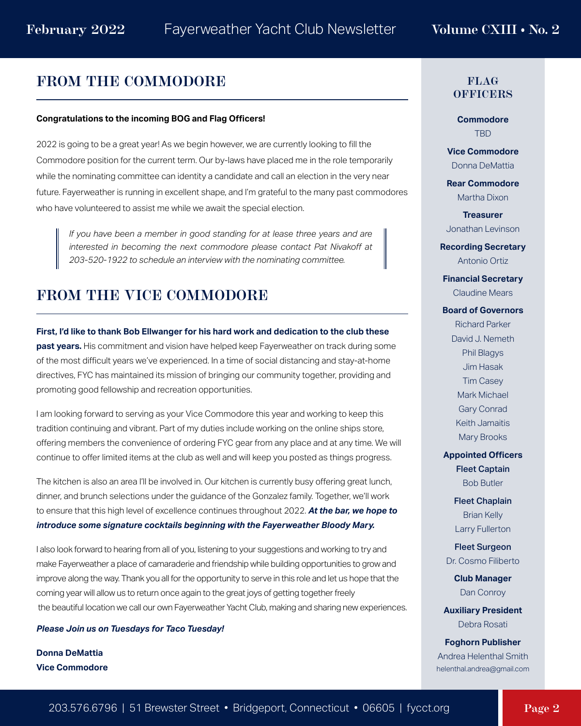#### **FROM THE COMMODORE**

#### **Congratulations to the incoming BOG and Flag Officers!**

2022 is going to be a great year! As we begin however, we are currently looking to fill the Commodore position for the current term. Our by-laws have placed me in the role temporarily while the nominating committee can identity a candidate and call an election in the very near future. Fayerweather is running in excellent shape, and I'm grateful to the many past commodores who have volunteered to assist me while we await the special election.

*If you have been a member in good standing for at lease three years and are interested in becoming the next commodore please contact Pat Nivakoff at 203-520-1922 to schedule an interview with the nominating committee.*

#### **FROM THE VICE COMMODORE**

**First, I'd like to thank Bob Ellwanger for his hard work and dedication to the club these past years.** His commitment and vision have helped keep Fayerweather on track during some of the most difficult years we've experienced. In a time of social distancing and stay-at-home directives, FYC has maintained its mission of bringing our community together, providing and promoting good fellowship and recreation opportunities.

I am looking forward to serving as your Vice Commodore this year and working to keep this tradition continuing and vibrant. Part of my duties include working on the online ships store, offering members the convenience of ordering FYC gear from any place and at any time. We will continue to offer limited items at the club as well and will keep you posted as things progress.

The kitchen is also an area I'll be involved in. Our kitchen is currently busy offering great lunch, dinner, and brunch selections under the guidance of the Gonzalez family. Together, we'll work to ensure that this high level of excellence continues throughout 2022. *At the bar, we hope to introduce some signature cocktails beginning with the Fayerweather Bloody Mary.*

I also look forward to hearing from all of you, listening to your suggestions and working to try and make Fayerweather a place of camaraderie and friendship while building opportunities to grow and improve along the way. Thank you all for the opportunity to serve in this role and let us hope that the coming year will allow us to return once again to the great joys of getting together freely the beautiful location we call our own Fayerweather Yacht Club, making and sharing new experiences.

*Please Join us on Tuesdays for Taco Tuesday!* 

**Donna DeMattia Vice Commodore**

#### **FLAG OFFICERS**

**Commodore** TBD

**Vice Commodore** Donna DeMattia

**Rear Commodore** Martha Dixon

**Treasurer** Jonathan Levinson

**Recording Secretary** Antonio Ortiz

**Financial Secretary** Claudine Mears

**Board of Governors** Richard Parker David J. Nemeth Phil Blagys Jim Hasak Tim Casey Mark Michael Gary Conrad Keith Jamaitis Mary Brooks

**Appointed Officers** Fleet Captain

Bob Butler

Fleet Chaplain Brian Kelly Larry Fullerton

Fleet Surgeon Dr. Cosmo Filiberto

> **Club Manager** Dan Conroy

**Auxiliary President** Debra Rosati

**Foghorn Publisher** Andrea Helenthal Smith helenthal.andrea@gmail.com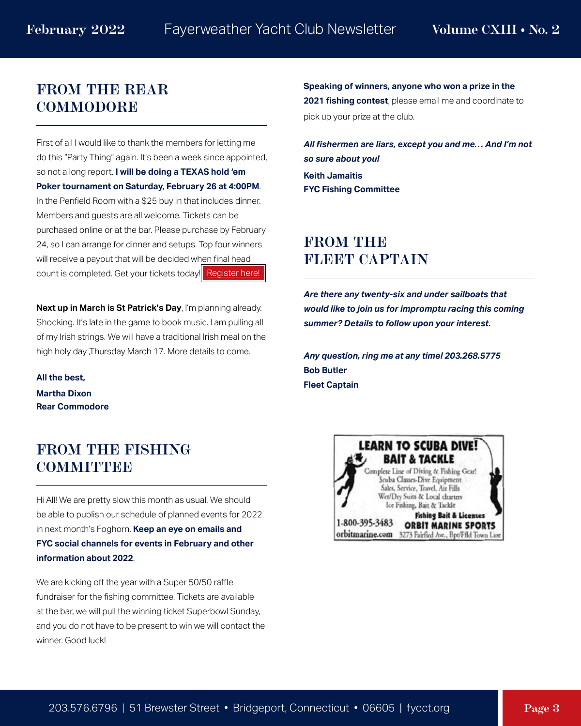#### **FROM THE REAR COMMODORE**

First of all I would like to thank the members for letting me do this "Party Thing" again. It's been a week since appointed, so not a long report. **I will be doing a TEXAS hold 'em Poker tournament on Saturday, February 26 at 4:00PM**. In the Penfield Room with a \$25 buy in that includes dinner. Members and guests are all welcome. Tickets can be purchased online or at the bar. Please purchase by February 24, so I can arrange for dinner and setups. Top four winners will receive a payout that will be decided when final head count is completed. Get your tickets today! [Register here!](https://fycct.org/submaster.cfm?aPage=calendardetails.cfm&CalID=1505)

**Next up in March is St Patrick's Day**, I'm planning already. Shocking. It's late in the game to book music. I am pulling all of my Irish strings. We will have a traditional Irish meal on the high holy day ,Thursday March 17. More details to come.

**All the best, Martha Dixon Rear Commodore**

#### **FROM THE FISHING COMMITTIBE**

Hi All! We are pretty slow this month as usual. We should be able to publish our schedule of planned events for 2022 in next month's Foghorn. **Keep an eye on emails and FYC social channels for events in February and other information about 2022**.

We are kicking off the year with a Super 50/50 raffle fundraiser for the fishing committee. Tickets are available at the bar, we will pull the winning ticket Superbowl Sunday, and you do not have to be present to win we will contact the winner. Good luck!

**Speaking of winners, anyone who won a prize in the 2021 fishing contest**, please email me and coordinate to pick up your prize at the club.

*All fishermen are liars, except you and me… And I'm not so sure about you!*  **Keith Jamaitis FYC Fishing Committee**

#### **FROM THE FLEET CAPTAIN**

*Are there any twenty-six and under sailboats that would like to join us for impromptu racing this coming summer? Details to follow upon your interest.*

*Any question, ring me at any time! 203.268.5775* **Bob Butler Fleet Captain**

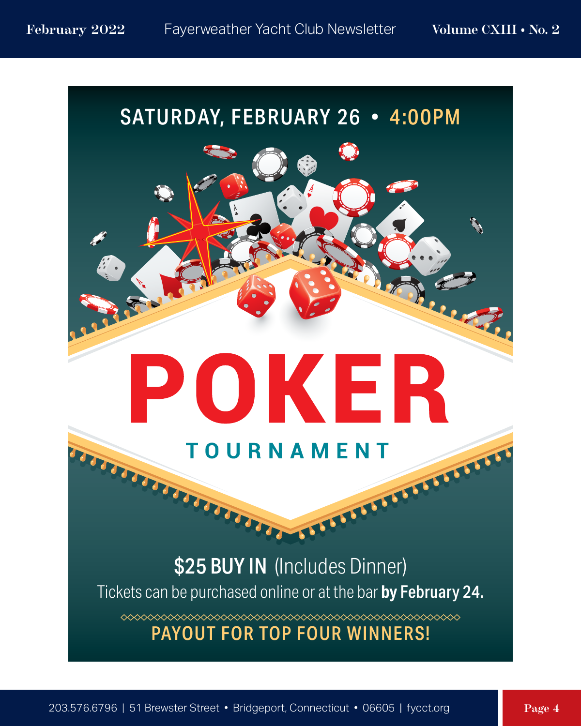### SATURDAY, FEBRUARY 26 • 4:00PM

## **TOURNAMENT**

POKER

# **SPACE COMPANY OF THE CONSTRUCTION** Tickets can be purchased online or at the bar **by** February 24.

 $\begin{picture}(100,100) \put(0,0){\vector(1,0){10}} \put(0,0){\vector(1,0){10}} \put(0,0){\vector(1,0){10}} \put(0,0){\vector(1,0){10}} \put(0,0){\vector(1,0){10}} \put(0,0){\vector(1,0){10}} \put(0,0){\vector(1,0){10}} \put(0,0){\vector(1,0){10}} \put(0,0){\vector(1,0){10}} \put(0,0){\vector(1,0){10}} \put(0,0){\vector(1,0){10}} \put(0,0){\vector(1,0){10}} \put($ 

#### PAYOUT FOR TOP FOUR WINNERS!

UU.

**MARITANIA**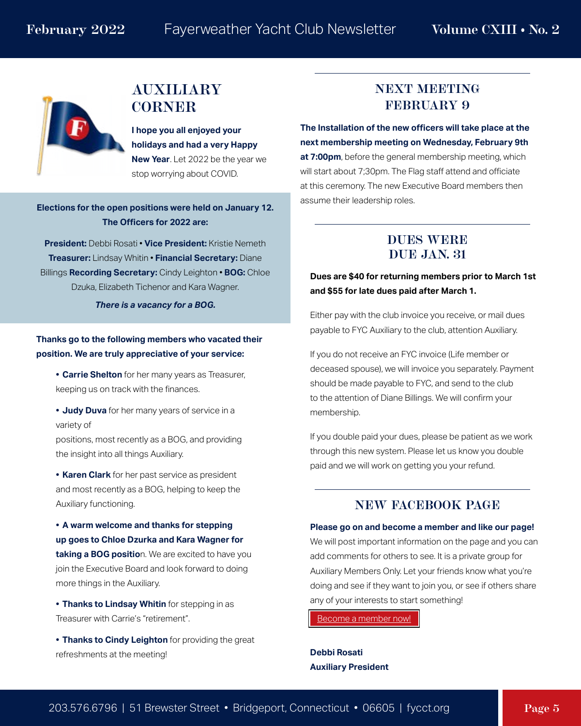#### **AUXILIARY CORNER**

**I hope you all enjoyed your holidays and had a very Happy New Year**. Let 2022 be the year we stop worrying about COVID.

**Elections for the open positions were held on January 12. The Officers for 2022 are:**

**President:** Debbi Rosati • **Vice President:** Kristie Nemeth **Treasurer:** Lindsay Whitin • **Financial Secretary:** Diane Billings **Recording Secretary:** Cindy Leighton • **BOG:** Chloe Dzuka, Elizabeth Tichenor and Kara Wagner.

*There is a vacancy for a BOG.*

**Thanks go to the following members who vacated their position. We are truly appreciative of your service:**

- **• Carrie Shelton** for her many years as Treasurer, keeping us on track with the finances.
- **• Judy Duva** for her many years of service in a variety of

positions, most recently as a BOG, and providing the insight into all things Auxiliary.

**• Karen Clark** for her past service as president and most recently as a BOG, helping to keep the Auxiliary functioning.

**• A warm welcome and thanks for stepping up goes to Chloe Dzurka and Kara Wagner for taking a BOG positio**n. We are excited to have you join the Executive Board and look forward to doing more things in the Auxiliary.

**• Thanks to Lindsay Whitin** for stepping in as Treasurer with Carrie's "retirement".

**• Thanks to Cindy Leighton** for providing the great refreshments at the meeting!

#### **NEXT MEETING FEBRUARY 9**

**The Installation of the new officers will take place at the next membership meeting on Wednesday, February 9th at 7:00pm**, before the general membership meeting, which will start about 7;30pm. The Flag staff attend and officiate at this ceremony. The new Executive Board members then assume their leadership roles.

#### **DUES WERE DUE JAN. 31**

#### **Dues are \$40 for returning members prior to March 1st and \$55 for late dues paid after March 1.**

Either pay with the club invoice you receive, or mail dues payable to FYC Auxiliary to the club, attention Auxiliary.

If you do not receive an FYC invoice (Life member or deceased spouse), we will invoice you separately. Payment should be made payable to FYC, and send to the club to the attention of Diane Billings. We will confirm your membership.

If you double paid your dues, please be patient as we work through this new system. Please let us know you double paid and we will work on getting you your refund.

#### **NEW FACEBOOK PAGE**

#### **Please go on and become a member and like our page!**

We will post important information on the page and you can add comments for others to see. It is a private group for Auxiliary Members Only. Let your friends know what you're doing and see if they want to join you, or see if others share any of your interests to start something!

[Become a member now!](https://www.facebook.com/groups/443749913780538)

**Debbi Rosati Auxiliary President**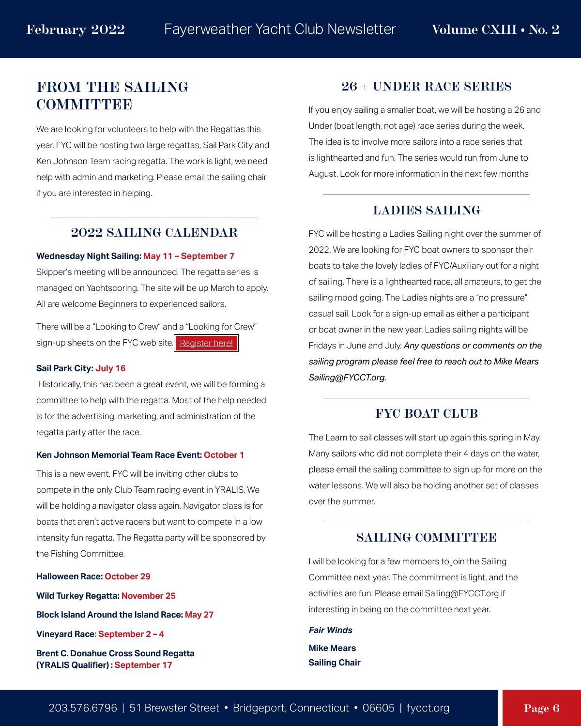#### **[FROM THE SAILING](https://fycct.org/index.cfm?ID=169)  COMMITTEE**

We are looking for volunteers to help with the Regattas this year. FYC will be hosting two large regattas, Sail Park City and Ken Johnson Team racing regatta. The work is light, we need help with admin and marketing. Please email the sailing chair if you are interested in helping.

#### **2022 SAILING CALENDAR**

#### **Wednesday Night Sailing: May 11 – September 7**

Skipper's meeting will be announced. The regatta series is managed on Yachtscoring. The site will be up March to apply. All are welcome Beginners to experienced sailors.

There will be a "Looking to Crew" and a "Looking for Crew" sign-up sheets on the FYC web site. [Register here!](https://fycct.org/index.cfm?ID=169)

#### **Sail Park City: July 16**

 Historically, this has been a great event, we will be forming a committee to help with the regatta. Most of the help needed is for the advertising, marketing, and administration of the regatta party after the race.

#### **Ken Johnson Memorial Team Race Event: October 1**

This is a new event. FYC will be inviting other clubs to compete in the only Club Team racing event in YRALIS. We will be holding a navigator class again. Navigator class is for boats that aren't active racers but want to compete in a low intensity fun regatta. The Regatta party will be sponsored by the Fishing Committee.

**Halloween Race: October 29**

**Wild Turkey Regatta: November 25**

**Block Island Around the Island Race: May 27**

**Vineyard Race: September 2 – 4**

**Brent C. Donahue Cross Sound Regatta (YRALIS Qualifier) : September 17**

#### **26 + UNDER RACE SERIES**

If you enjoy sailing a smaller boat, we will be hosting a 26 and Under (boat length, not age) race series during the week. The idea is to involve more sailors into a race series that is lighthearted and fun. The series would run from June to August. Look for more information in the next few months

#### **LADIES SAILING**

FYC will be hosting a Ladies Sailing night over the summer of 2022. We are looking for FYC boat owners to sponsor their boats to take the lovely ladies of FYC/Auxiliary out for a night of sailing. There is a lighthearted race, all amateurs, to get the sailing mood going. The Ladies nights are a "no pressure" casual sail. Look for a sign-up email as either a participant or boat owner in the new year. Ladies sailing nights will be Fridays in June and July. *Any questions or comments on the sailing program please feel free to reach out to Mike Mears Sailing@FYCCT.org.*

#### **FYC BOAT CLUB**

The Learn to sail classes will start up again this spring in May. Many sailors who did not complete their 4 days on the water, please email the sailing committee to sign up for more on the water lessons. We will also be holding another set of classes over the summer.

#### **SAILING COMMITTEE**

I will be looking for a few members to join the Sailing Committee next year. The commitment is light, and the activities are fun. Please email Sailing@FYCCT.org if interesting in being on the committee next year.

#### *Fair Winds* **Mike Mears**

**Sailing Chair**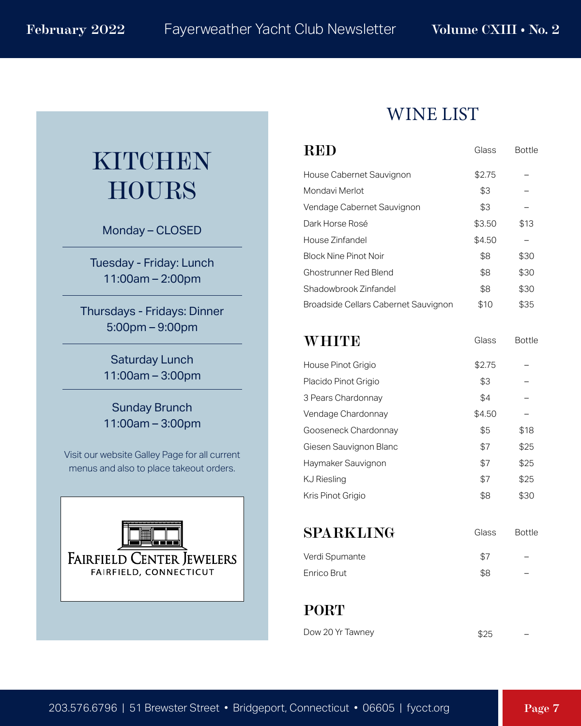## KITCHEN HOURS

Monday – CLOSED

Tuesday - Friday: Lunch 11:00am – 2:00pm

Thursdays - Fridays: Dinner 5:00pm – 9:00pm

> Saturday Lunch 11:00am – 3:00pm

> Sunday Brunch 11:00am – 3:00pm

Visit our website Galley Page for all current menus and also to place takeout orders.



#### WINE LIST

| RED                                         | Glass  | <b>Bottle</b> |
|---------------------------------------------|--------|---------------|
| House Cabernet Sauvignon                    | \$2.75 |               |
| Mondavi Merlot                              | \$3    |               |
| Vendage Cabernet Sauvignon                  | \$3    |               |
| Dark Horse Rosé                             | \$3.50 | \$13          |
| House Zinfandel                             | \$4.50 |               |
| <b>Block Nine Pinot Noir</b>                | \$8    | \$30          |
| <b>Ghostrunner Red Blend</b>                | \$8    | \$30          |
| Shadowbrook Zinfandel                       | \$8    | \$30          |
| <b>Broadside Cellars Cabernet Sauvignon</b> | \$10   | \$35          |
|                                             |        |               |
| WHITE                                       | Glass  | <b>Bottle</b> |
| House Pinot Grigio                          | \$2.75 |               |
| Placido Pinot Grigio                        | \$3    |               |
| 3 Pears Chardonnay                          | \$4    |               |
| Vendage Chardonnay                          | \$4.50 |               |
| Gooseneck Chardonnay                        | \$5    | \$18          |
| Giesen Sauvignon Blanc                      | \$7    | \$25          |
| Haymaker Sauvignon                          | \$7    | \$25          |
| <b>KJ Riesling</b>                          | \$7    | \$25          |
| Kris Pinot Grigio                           | \$8    | \$30          |
|                                             |        |               |
| SPARKLING                                   | Glass  | <b>Bottle</b> |
| Verdi Spumante                              | \$7    |               |
| Enrico Brut                                 | \$8    |               |

**PORT**

| Dow 20 Yr Tawney | \$25 |  |
|------------------|------|--|
|                  |      |  |